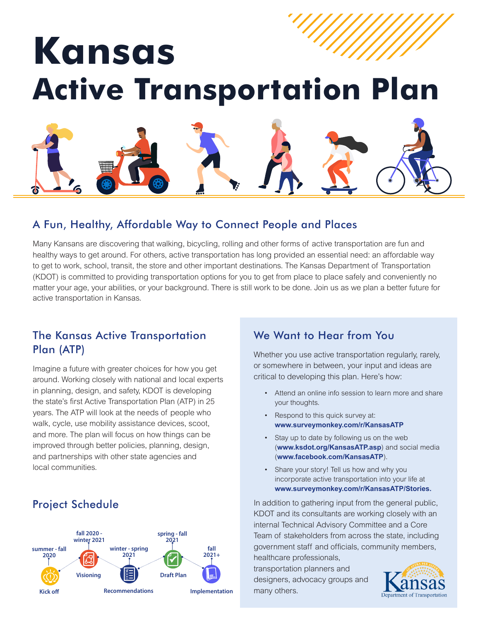# **Kansas Active Transportation Plan**

## A Fun, Healthy, Affordable Way to Connect People and Places

Many Kansans are discovering that walking, bicycling, rolling and other forms of active transportation are fun and healthy ways to get around. For others, active transportation has long provided an essential need: an affordable way to get to work, school, transit, the store and other important destinations. The Kansas Department of Transportation (KDOT) is committed to providing transportation options for you to get from place to place safely and conveniently no matter your age, your abilities, or your background. There is still work to be done. Join us as we plan a better future for active transportation in Kansas.

## The Kansas Active Transportation Plan (ATP)

Imagine a future with greater choices for how you get around. Working closely with national and local experts in planning, design, and safety, KDOT is developing the state's first Active Transportation Plan (ATP) in 25 years. The ATP will look at the needs of people who walk, cycle, use mobility assistance devices, scoot, and more. The plan will focus on how things can be improved through better policies, planning, design, and partnerships with other state agencies and local communities.

# Project Schedule



## We Want to Hear from You

Whether you use active transportation regularly, rarely, or somewhere in between, your input and ideas are critical to developing this plan. Here's how:

- Attend an online info session to learn more and share your thoughts.
- Respond to this quick survey at: **www.surveymonkey.com/r/KansasATP**
- Stay up to date by following us on the web (**www.ksdot.org/KansasATP.asp**)and social media (**www.facebook.com/KansasATP**).
- Share your story! Tell us how and why you incorporate active transportation into your life at **[www.surveymonkey.com/r/KansasATP/Stories](https://www.surveymonkey.com/r/KansasATPStories).**

In addition to gathering input from the general public, KDOT and its consultants are working closely with an internal Technical Advisory Committee and a Core Team of stakeholders from across the state, including government staff and officials, community members, healthcare professionals,

transportation planners and designers, advocacy groups and many others.